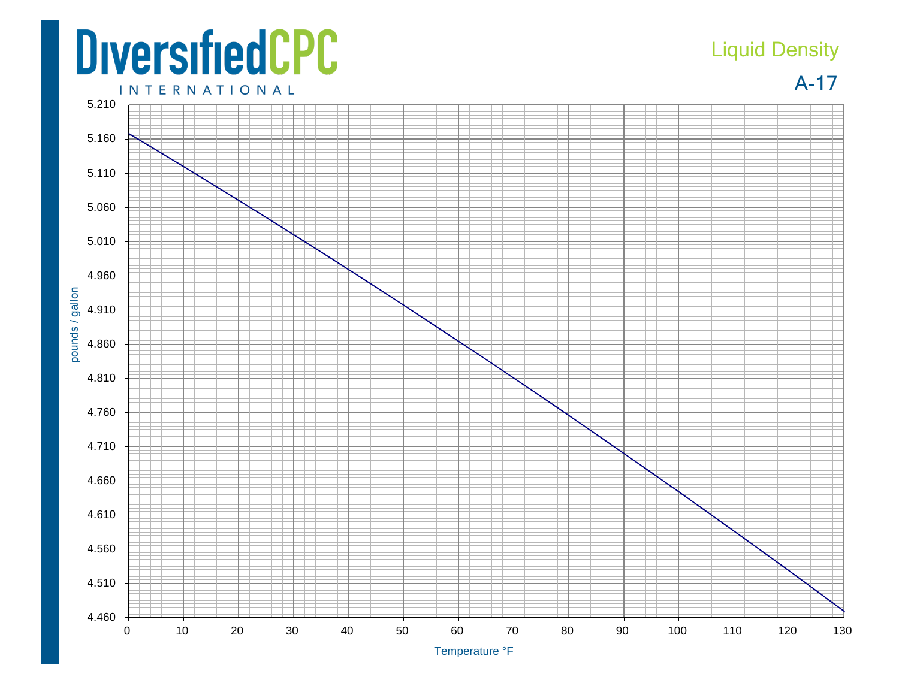## **DiversifiedCPC**

## Liquid Density

A-17

**INTERNATIONAL**